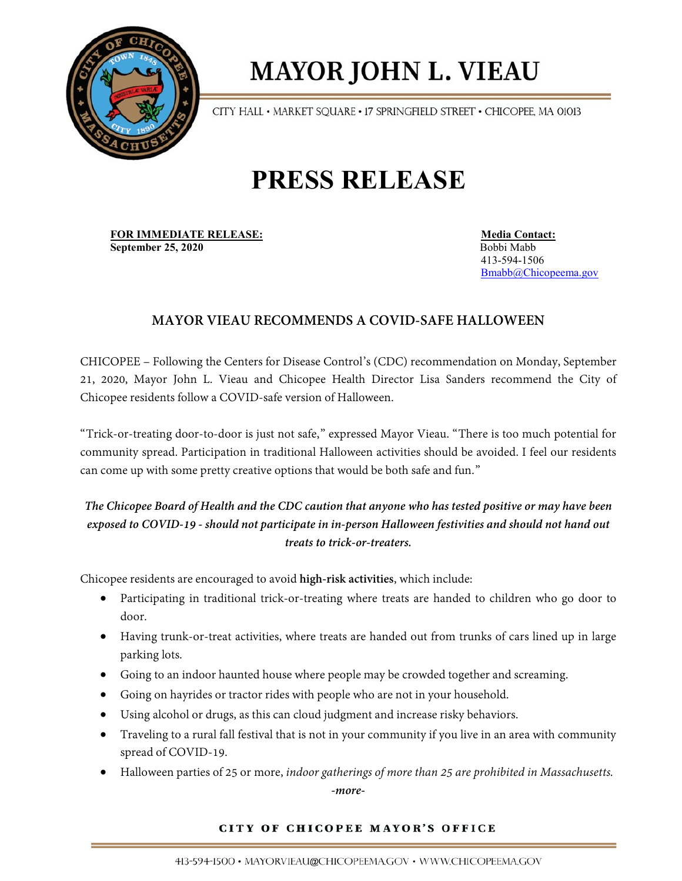

# **MAYOR JOHN L. VIEAU**

CITY HALL • MARKET SQUARE • 17 SPRINGFIELD STREET • CHICOPEE, MA 01013

## **PRESS RELEASE**

**FOR IMMEDIATE RELEASE:** Media Contact: **September 25, 2020 Bobbi Mabb** Bobbi Mabb

 413-594-1506 [Bmabb@Chicopeema.gov](mailto:Bmabb@Chicopeema.gov)

### **MAYOR VIEAU RECOMMENDS A COVID-SAFE HALLOWEEN**

CHICOPEE – Following the Centers for Disease Control's (CDC) recommendation on Monday, September 21, 2020, Mayor John L. Vieau and Chicopee Health Director Lisa Sanders recommend the City of Chicopee residents follow a COVID-safe version of Halloween.

"Trick-or-treating door-to-door is just not safe," expressed Mayor Vieau. "There is too much potential for community spread. Participation in traditional Halloween activities should be avoided. I feel our residents can come up with some pretty creative options that would be both safe and fun."

### *The Chicopee Board of Health and the CDC caution that anyone who has tested positive or may have been exposed to COVID-19 - should not participate in in-person Halloween festivities and should not hand out treats to trick-or-treaters.*

Chicopee residents are encouraged to avoid **high-risk activities**, which include:

- Participating in traditional trick-or-treating where treats are handed to children who go door to door.
- Having trunk-or-treat activities, where treats are handed out from trunks of cars lined up in large parking lots.
- Going to an indoor haunted house where people may be crowded together and screaming.
- Going on hayrides or tractor rides with people who are not in your household.
- Using alcohol or drugs, as this can cloud judgment and increase risky behaviors.
- Traveling to a rural fall festival that is not in your community if you live in an area with community spread of COVID-19.
- Halloween parties of 25 or more, *indoor gatherings of more than 25 are prohibited in Massachusetts.*

*-more-*

#### CITY OF CHICOPEE MAYOR'S OFFICE